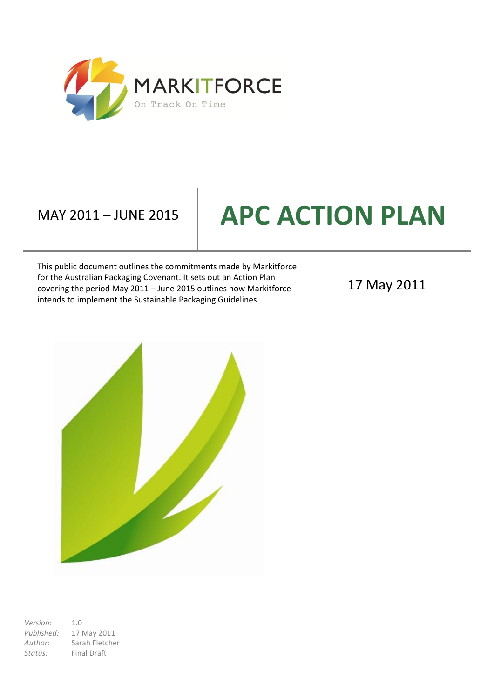

# **MAY 2011 – JUNE 2015 | APC ACTION PLAN**

This public document outlines the commitments made by Markitforce for the Australian Packaging Covenant. It sets out an Action Plan covering the period May 2011 – June 2015 outlines how Markitforce intends to implement the Sustainable Packaging Guidelines.

17 May 2011



*Version:* 1.0 *Published:* 17 May 2011 *Author:* Sarah Fletcher *Status:* Final Draft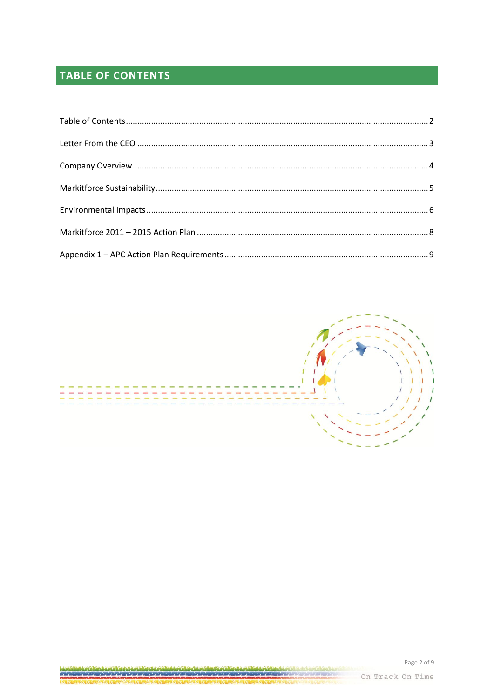# <span id="page-1-0"></span>**TABLE OF CONTENTS**



On Track On Time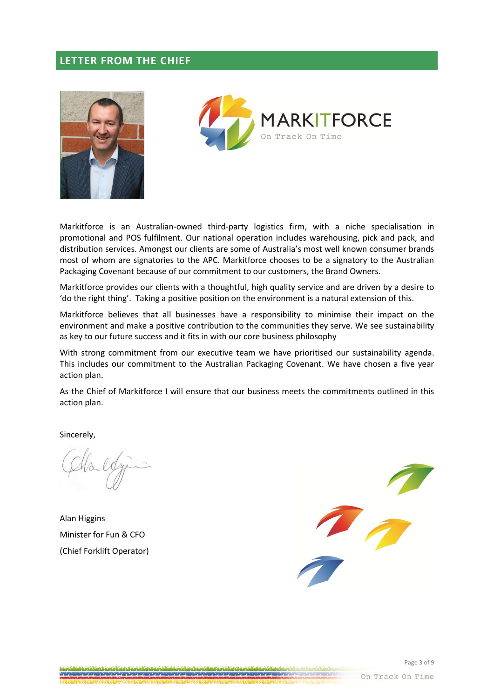### <span id="page-2-0"></span>**LETTER FROM THE CHIEF**





Markitforce is an Australian-owned third-party logistics firm, with a niche specialisation in promotional and POS fulfilment. Our national operation includes warehousing, pick and pack, and distribution services. Amongst our clients are some of Australia's most well known consumer brands most of whom are signatories to the APC. Markitforce chooses to be a signatory to the Australian Packaging Covenant because of our commitment to our customers, the Brand Owners.

Markitforce provides our clients with a thoughtful, high quality service and are driven by a desire to 'do the right thing'. Taking a positive position on the environment is a natural extension of this.

Markitforce believes that all businesses have a responsibility to minimise their impact on the environment and make a positive contribution to the communities they serve. We see sustainability as key to our future success and it fits in with our core business philosophy

With strong commitment from our executive team we have prioritised our sustainability agenda. This includes our commitment to the Australian Packaging Covenant. We have chosen a five year action plan.

As the Chief of Markitforce I will ensure that our business meets the commitments outlined in this action plan.

Sincerely,

Alan Higgins Minister for Fun & CFO (Chief Forklift Operator)

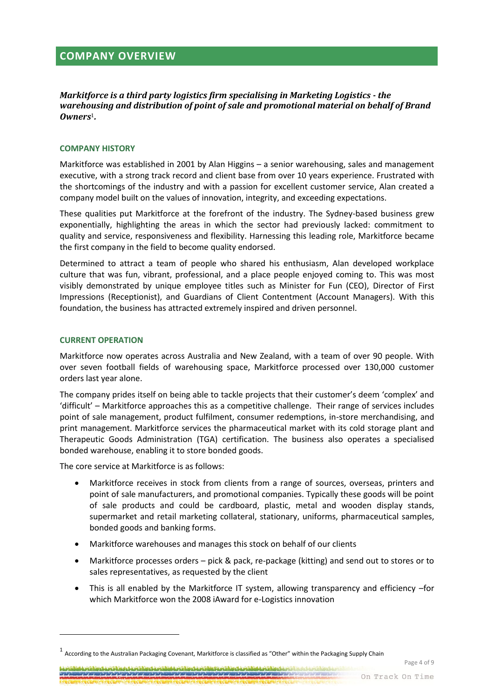<span id="page-3-0"></span>*Markitforce is a third party logistics firm specialising in Marketing Logistics - the warehousing and distribution of point of sale and promotional material on behalf of Brand Owners*1*.*

#### **COMPANY HISTORY**

Markitforce was established in 2001 by Alan Higgins – a senior warehousing, sales and management executive, with a strong track record and client base from over 10 years experience. Frustrated with the shortcomings of the industry and with a passion for excellent customer service, Alan created a company model built on the values of innovation, integrity, and exceeding expectations.

These qualities put Markitforce at the forefront of the industry. The Sydney-based business grew exponentially, highlighting the areas in which the sector had previously lacked: commitment to quality and service, responsiveness and flexibility. Harnessing this leading role, Markitforce became the first company in the field to become quality endorsed.

Determined to attract a team of people who shared his enthusiasm, Alan developed workplace culture that was fun, vibrant, professional, and a place people enjoyed coming to. This was most visibly demonstrated by unique employee titles such as Minister for Fun (CEO), Director of First Impressions (Receptionist), and Guardians of Client Contentment (Account Managers). With this foundation, the business has attracted extremely inspired and driven personnel.

#### **CURRENT OPERATION**

**.** 

Markitforce now operates across Australia and New Zealand, with a team of over 90 people. With over seven football fields of warehousing space, Markitforce processed over 130,000 customer orders last year alone.

The company prides itself on being able to tackle projects that their customer's deem 'complex' and 'difficult' – Markitforce approaches this as a competitive challenge. Their range of services includes point of sale management, product fulfilment, consumer redemptions, in-store merchandising, and print management. Markitforce services the pharmaceutical market with its cold storage plant and Therapeutic Goods Administration (TGA) certification. The business also operates a specialised bonded warehouse, enabling it to store bonded goods.

The core service at Markitforce is as follows:

- Markitforce receives in stock from clients from a range of sources, overseas, printers and point of sale manufacturers, and promotional companies. Typically these goods will be point of sale products and could be cardboard, plastic, metal and wooden display stands, supermarket and retail marketing collateral, stationary, uniforms, pharmaceutical samples, bonded goods and banking forms.
- Markitforce warehouses and manages this stock on behalf of our clients
- Markitforce processes orders pick & pack, re-package (kitting) and send out to stores or to sales representatives, as requested by the client
- This is all enabled by the Markitforce IT system, allowing transparency and efficiency –for which Markitforce won the 2008 iAward for e-Logistics innovation

<u>A ang laling tanggal ing tanggal ing tanggal ing taling tanggal ing tanggal ang laling tanggal ing tanggal ing</u> <u> 11 SIBAN SA SA SA SA SA SA SA SA SA </u> Page 4 of 9

 $^1$  According to the Australian Packaging Covenant, Markitforce is classified as "Other" within the Packaging Supply Chain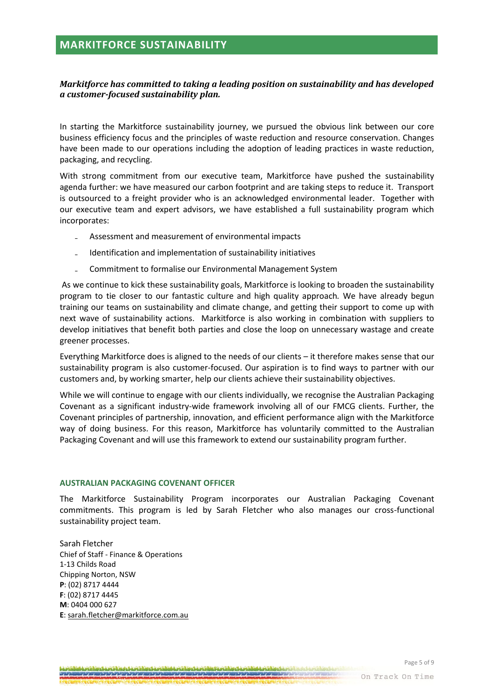## <span id="page-4-0"></span>**MARKITFORCE SUSTAINABILITY**

#### *Markitforce has committed to taking a leading position on sustainability and has developed a customer-focused sustainability plan.*

In starting the Markitforce sustainability journey, we pursued the obvious link between our core business efficiency focus and the principles of waste reduction and resource conservation. Changes have been made to our operations including the adoption of leading practices in waste reduction, packaging, and recycling.

With strong commitment from our executive team, Markitforce have pushed the sustainability agenda further: we have measured our carbon footprint and are taking steps to reduce it. Transport is outsourced to a freight provider who is an acknowledged environmental leader. Together with our executive team and expert advisors, we have established a full sustainability program which incorporates:

- ₋ Assessment and measurement of environmental impacts
- ₋ Identification and implementation of sustainability initiatives
- ₋ Commitment to formalise our Environmental Management System

As we continue to kick these sustainability goals, Markitforce is looking to broaden the sustainability program to tie closer to our fantastic culture and high quality approach*.* We have already begun training our teams on sustainability and climate change, and getting their support to come up with next wave of sustainability actions. Markitforce is also working in combination with suppliers to develop initiatives that benefit both parties and close the loop on unnecessary wastage and create greener processes.

Everything Markitforce does is aligned to the needs of our clients – it therefore makes sense that our sustainability program is also customer-focused. Our aspiration is to find ways to partner with our customers and, by working smarter, help our clients achieve their sustainability objectives.

While we will continue to engage with our clients individually, we recognise the Australian Packaging Covenant as a significant industry-wide framework involving all of our FMCG clients. Further, the Covenant principles of partnership, innovation, and efficient performance align with the Markitforce way of doing business. For this reason, Markitforce has voluntarily committed to the Australian Packaging Covenant and will use this framework to extend our sustainability program further.

#### **AUSTRALIAN PACKAGING COVENANT OFFICER**

The Markitforce Sustainability Program incorporates our Australian Packaging Covenant commitments. This program is led by Sarah Fletcher who also manages our cross-functional sustainability project team.

Sarah Fletcher Chief of Staff - Finance & Operations 1-13 Childs Road Chipping Norton, NSW **P**: (02) 8717 4444 **F**: (02) 8717 4445 **M**: 0404 000 627 **E**: sarah.fletche[r@markitforce.com.au](mailto:sarah.rigby@markitforce.com.au)

On Track On Time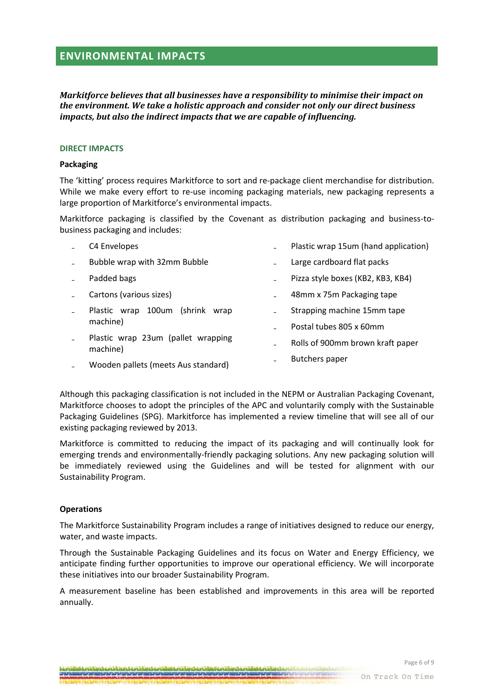# <span id="page-5-0"></span>**ENVIRONMENTAL IMPACTS**

*Markitforce believes that all businesses have a responsibility to minimise their impact on the environment. We take a holistic approach and consider not only our direct business impacts, but also the indirect impacts that we are capable of influencing.*

#### **DIRECT IMPACTS**

#### **Packaging**

The 'kitting' process requires Markitforce to sort and re-package client merchandise for distribution. While we make every effort to re-use incoming packaging materials, new packaging represents a large proportion of Markitforce's environmental impacts.

Markitforce packaging is classified by the Covenant as distribution packaging and business-tobusiness packaging and includes:

| C4 Envelopes                                   |  | Plastic wrap 15um (hand application) |
|------------------------------------------------|--|--------------------------------------|
| Bubble wrap with 32mm Bubble                   |  | Large cardboard flat packs           |
| Padded bags                                    |  | Pizza style boxes (KB2, KB3, KB4)    |
| Cartons (various sizes)                        |  | 48mm x 75m Packaging tape            |
| 100um (shrink wrap<br>Plastic wrap             |  | Strapping machine 15mm tape          |
| machine)                                       |  | Postal tubes 805 x 60mm              |
| Plastic wrap 23um (pallet wrapping<br>machine) |  | Rolls of 900mm brown kraft paper     |
| Wooden pallets (meets Aus standard)            |  | <b>Butchers paper</b>                |

Although this packaging classification is not included in the NEPM or Australian Packaging Covenant, Markitforce chooses to adopt the principles of the APC and voluntarily comply with the Sustainable Packaging Guidelines (SPG). Markitforce has implemented a review timeline that will see all of our existing packaging reviewed by 2013.

Markitforce is committed to reducing the impact of its packaging and will continually look for emerging trends and environmentally-friendly packaging solutions. Any new packaging solution will be immediately reviewed using the Guidelines and will be tested for alignment with our Sustainability Program.

#### **Operations**

The Markitforce Sustainability Program includes a range of initiatives designed to reduce our energy, water, and waste impacts.

Through the Sustainable Packaging Guidelines and its focus on Water and Energy Efficiency, we anticipate finding further opportunities to improve our operational efficiency. We will incorporate these initiatives into our broader Sustainability Program.

A measurement baseline has been established and improvements in this area will be reported annually.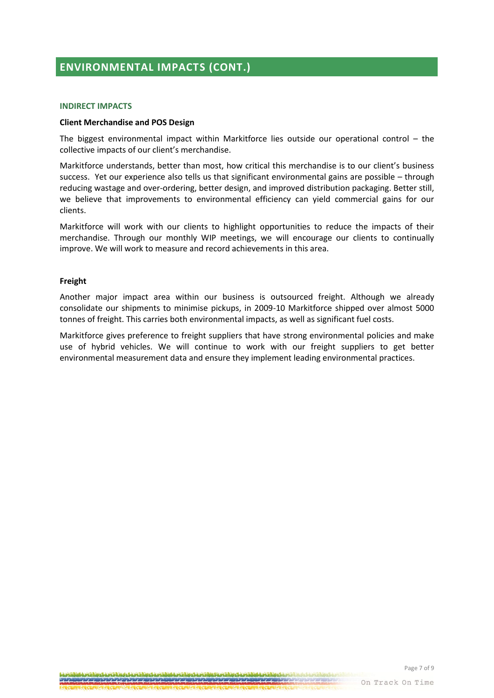# **ENVIRONMENTAL IMPACTS (CONT.)**

#### **INDIRECT IMPACTS**

#### **Client Merchandise and POS Design**

The biggest environmental impact within Markitforce lies outside our operational control  $-$  the collective impacts of our client's merchandise.

Markitforce understands, better than most, how critical this merchandise is to our client's business success. Yet our experience also tells us that significant environmental gains are possible – through reducing wastage and over-ordering, better design, and improved distribution packaging. Better still, we believe that improvements to environmental efficiency can yield commercial gains for our clients.

Markitforce will work with our clients to highlight opportunities to reduce the impacts of their merchandise. Through our monthly WIP meetings, we will encourage our clients to continually improve. We will work to measure and record achievements in this area.

#### **Freight**

Another major impact area within our business is outsourced freight. Although we already consolidate our shipments to minimise pickups, in 2009-10 Markitforce shipped over almost 5000 tonnes of freight. This carries both environmental impacts, as well as significant fuel costs.

Markitforce gives preference to freight suppliers that have strong environmental policies and make use of hybrid vehicles. We will continue to work with our freight suppliers to get better environmental measurement data and ensure they implement leading environmental practices.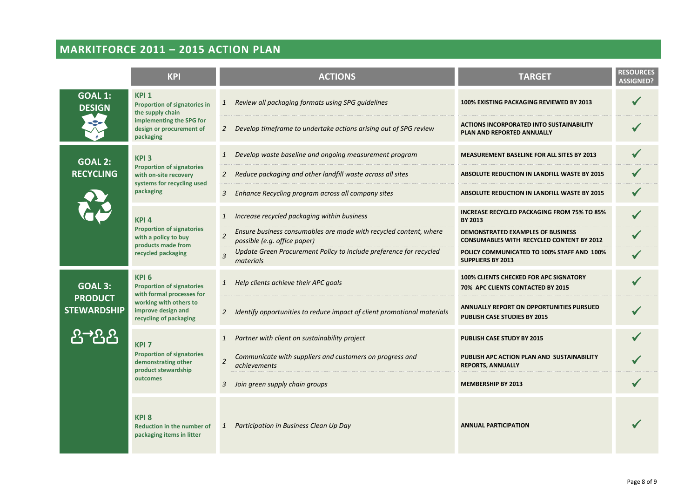# **MARKITFORCE 2011 – 2015 ACTION PLAN**

<span id="page-7-0"></span>

|                                                                                                                | <b>KPI</b>                                                                                                                                                  | <b>ACTIONS</b>                                                                                                      | <b>TARGET</b>                                                                                | <b>RESOURCES</b><br><b>ASSIGNED?</b> |
|----------------------------------------------------------------------------------------------------------------|-------------------------------------------------------------------------------------------------------------------------------------------------------------|---------------------------------------------------------------------------------------------------------------------|----------------------------------------------------------------------------------------------|--------------------------------------|
| <b>GOAL 1:</b><br>KPI <sub>1</sub><br><b>Proportion of signatories in</b><br><b>DESIGN</b><br>the supply chain |                                                                                                                                                             | Review all packaging formats using SPG guidelines<br>$\mathbf{1}$                                                   | 100% EXISTING PACKAGING REVIEWED BY 2013                                                     |                                      |
|                                                                                                                | implementing the SPG for<br>design or procurement of<br>packaging                                                                                           | Develop timeframe to undertake actions arising out of SPG review<br>2                                               | <b>ACTIONS INCORPORATED INTO SUSTAINABILITY</b><br>PLAN AND REPORTED ANNUALLY                |                                      |
| <b>GOAL 2:</b>                                                                                                 | KPI <sub>3</sub><br><b>Proportion of signatories</b><br>with on-site recovery<br>systems for recycling used<br>packaging                                    | Develop waste baseline and ongoing measurement program<br>$\mathbf{1}$                                              | MEASUREMENT BASELINE FOR ALL SITES BY 2013                                                   |                                      |
| <b>RECYCLING</b>                                                                                               |                                                                                                                                                             | Reduce packaging and other landfill waste across all sites<br>$\mathbf{2}$                                          | <b>ABSOLUTE REDUCTION IN LANDFILL WASTE BY 2015</b>                                          |                                      |
|                                                                                                                |                                                                                                                                                             | Enhance Recycling program across all company sites<br>3                                                             | ABSOLUTE REDUCTION IN LANDFILL WASTE BY 2015                                                 |                                      |
|                                                                                                                | KPI <sub>4</sub><br><b>Proportion of signatories</b><br>with a policy to buy<br>products made from<br>recycled packaging                                    | Increase recycled packaging within business<br>$\mathbf{1}$<br><b>BY 2013</b>                                       | <b>INCREASE RECYCLED PACKAGING FROM 75% TO 85%</b>                                           |                                      |
|                                                                                                                |                                                                                                                                                             | Ensure business consumables are made with recycled content, where<br>$\overline{2}$<br>possible (e.g. office paper) | <b>DEMONSTRATED EXAMPLES OF BUSINESS</b><br><b>CONSUMABLES WITH RECYCLED CONTENT BY 2012</b> |                                      |
|                                                                                                                |                                                                                                                                                             | Update Green Procurement Policy to include preference for recycled<br>$\overline{3}$<br>materials                   | POLICY COMMUNICATED TO 100% STAFF AND 100%<br><b>SUPPLIERS BY 2013</b>                       |                                      |
| <b>GOAL 3:</b>                                                                                                 | KPI <sub>6</sub><br><b>Proportion of signatories</b><br>with formal processes for<br>working with others to<br>improve design and<br>recycling of packaging | 1 Help clients achieve their APC goals                                                                              | <b>100% CLIENTS CHECKED FOR APC SIGNATORY</b><br>70% APC CLIENTS CONTACTED BY 2015           |                                      |
| <b>PRODUCT</b><br><b>STEWARDSHIP</b>                                                                           |                                                                                                                                                             | Identify opportunities to reduce impact of client promotional materials<br>$\overline{2}$                           | <b>ANNUALLY REPORT ON OPPORTUNITIES PURSUED</b><br>PUBLISH CASE STUDIES BY 2015              |                                      |
| $\rightarrow$ $\Omega$                                                                                         | KPI <sub>7</sub>                                                                                                                                            | Partner with client on sustainability project<br>$\mathbf{1}$                                                       | PUBLISH CASE STUDY BY 2015                                                                   |                                      |
|                                                                                                                | <b>Proportion of signatories</b><br>demonstrating other<br>product stewardship<br>outcomes                                                                  | Communicate with suppliers and customers on progress and<br>$\overline{2}$<br><i>achievements</i>                   | PUBLISH APC ACTION PLAN AND SUSTAINABILITY<br><b>REPORTS, ANNUALLY</b>                       |                                      |
|                                                                                                                |                                                                                                                                                             | Join green supply chain groups<br>3                                                                                 | <b>MEMBERSHIP BY 2013</b>                                                                    |                                      |
|                                                                                                                | <b>KPI8</b><br><b>Reduction in the number of</b><br>packaging items in litter                                                                               | Participation in Business Clean Up Day<br>$\mathbf{1}$                                                              | <b>ANNUAL PARTICIPATION</b>                                                                  |                                      |